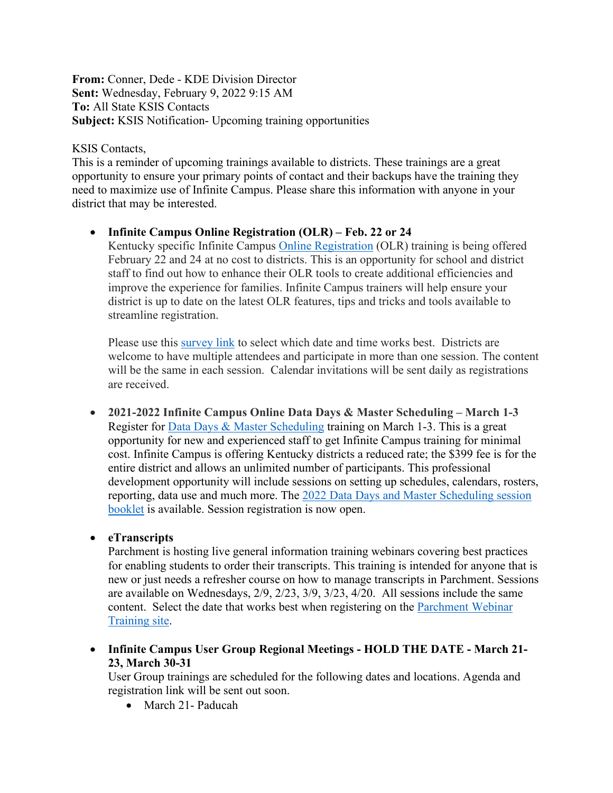**From:** Conner, Dede - KDE Division Director **Sent:** Wednesday, February 9, 2022 9:15 AM **To:** All State KSIS Contacts **Subject:** KSIS Notification- Upcoming training opportunities

### KSIS Contacts,

This is a reminder of upcoming trainings available to districts. These trainings are a great opportunity to ensure your primary points of contact and their backups have the training they need to maximize use of Infinite Campus. Please share this information with anyone in your district that may be interested.

## • **Infinite Campus Online Registration (OLR) – Feb. 22 or 24**

Kentucky specific Infinite Campus [Online Registration](https://education.ky.gov/districts/tech/sis/Documents/2021-2022KentuckyOnlineRegistrationTraining.pdf) (OLR) training is being offered February 22 and 24 at no cost to districts. This is an opportunity for school and district staff to find out how to enhance their OLR tools to create additional efficiencies and improve the experience for families. Infinite Campus trainers will help ensure your district is up to date on the latest OLR features, tips and tricks and tools available to streamline registration.

Please use this [survey link](https://www.surveymonkey.com/r/KDE_InfiniteCampus_OLR_Feb2022) to select which date and time works best. Districts are welcome to have multiple attendees and participate in more than one session. The content will be the same in each session. Calendar invitations will be sent daily as registrations are received.

• **2021-2022 Infinite Campus Online Data Days & Master Scheduling – March 1-3** Register for Data Days & Master Scheduling training on March 1-3. This is a great opportunity for new and experienced staff to get Infinite Campus training for minimal cost. Infinite Campus is offering Kentucky districts a reduced rate; the \$399 fee is for the entire district and allows an unlimited number of participants. This professional development opportunity will include sessions on setting up schedules, calendars, rosters, reporting, data use and much more. The [2022 Data Days and Master Scheduling session](https://www.infinitecampus.com/pdf/Training/DDMS/DDMS-2022-Session-Booklet.pdf)  [booklet](https://www.infinitecampus.com/pdf/Training/DDMS/DDMS-2022-Session-Booklet.pdf) is available. Session registration is now open.

# • **eTranscripts**

Parchment is hosting live general information training webinars covering best practices for enabling students to order their transcripts. This training is intended for anyone that is new or just needs a refresher course on how to manage transcripts in Parchment. Sessions are available on Wednesdays, 2/9, 2/23, 3/9, 3/23, 4/20. All sessions include the same content. Select the date that works best when registering on the [Parchment Webinar](https://parchmentsupport.force.com/admin/s/training)  [Training site.](https://parchmentsupport.force.com/admin/s/training)

• **Infinite Campus User Group Regional Meetings - HOLD THE DATE - March 21- 23, March 30-31**

User Group trainings are scheduled for the following dates and locations. Agenda and registration link will be sent out soon.

• March 21- Paducah